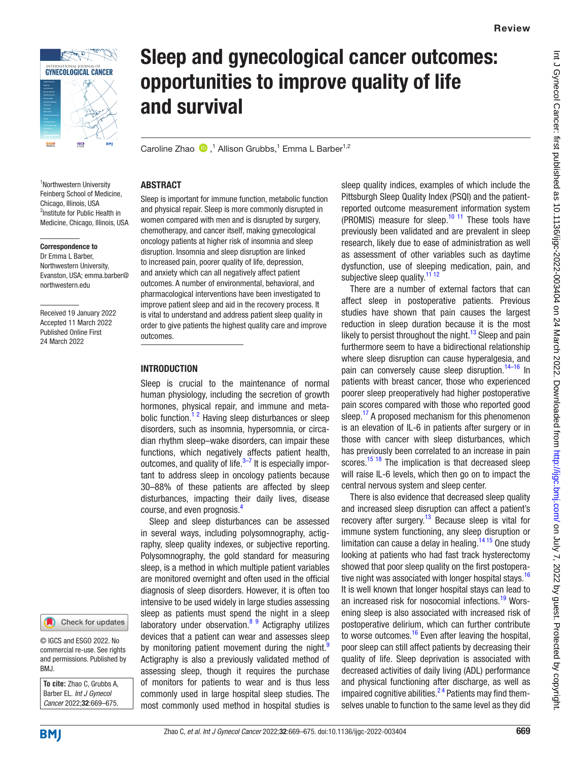

# Sleep and gynecological cancer outcomes: opportunities to improve quality of life and survival

CarolineZhao  $\bullet$ ,<sup>1</sup> Allison Grubbs,<sup>1</sup> Emma L Barber<sup>1,2</sup>

### ABSTRACT

<sup>1</sup>Northwestern University Feinberg School of Medicine, Chicago, Illinois, USA <sup>2</sup>Institute for Public Health in Medicine, Chicago, Illinois, USA

#### Correspondence to

Dr Emma L Barber, Northwestern University, Evanston, USA; emma.barber@ northwestern.edu

Received 19 January 2022 Accepted 11 March 2022 Published Online First 24 March 2022



© IGCS and ESGO 2022. No commercial re-use. See rights and permissions. Published by BMJ.

**To cite:** Zhao C, Grubbs A, Barber EL. *Int J Gynecol Cancer* 2022;32:669–675.

Sleep is important for immune function, metabolic function and physical repair. Sleep is more commonly disrupted in women compared with men and is disrupted by surgery, chemotherapy, and cancer itself, making gynecological oncology patients at higher risk of insomnia and sleep disruption. Insomnia and sleep disruption are linked to increased pain, poorer quality of life, depression, and anxiety which can all negatively affect patient outcomes. A number of environmental, behavioral, and pharmacological interventions have been investigated to improve patient sleep and aid in the recovery process. It is vital to understand and address patient sleep quality in order to give patients the highest quality care and improve outcomes.

### **INTRODUCTION**

Sleep is crucial to the maintenance of normal human physiology, including the secretion of growth hormones, physical repair, and immune and metabolic function.<sup>12</sup> Having sleep disturbances or sleep disorders, such as insomnia, hypersomnia, or circadian rhythm sleep–wake disorders, can impair these functions, which negatively affects patient health, outcomes, and quality of life. $3-7$  It is especially important to address sleep in oncology patients because 30–88% of these patients are affected by sleep disturbances, impacting their daily lives, disease course, and even prognosis.[4](#page-5-2)

Sleep and sleep disturbances can be assessed in several ways, including polysomnography, actigraphy, sleep quality indexes, or subjective reporting. Polysomnography, the gold standard for measuring sleep, is a method in which multiple patient variables are monitored overnight and often used in the official diagnosis of sleep disorders. However, it is often too intensive to be used widely in large studies assessing sleep as patients must spend the night in a sleep laboratory under observation. $89$  Actigraphy utilizes devices that a patient can wear and assesses sleep by monitoring patient movement during the night.<sup>[9](#page-6-0)</sup> Actigraphy is also a previously validated method of assessing sleep, though it requires the purchase of monitors for patients to wear and is thus less commonly used in large hospital sleep studies. The most commonly used method in hospital studies is

sleep quality indices, examples of which include the Pittsburgh Sleep Quality Index (PSQI) and the patientreported outcome measurement information system (PROMIS) measure for sleep. $10$  11 These tools have previously been validated and are prevalent in sleep research, likely due to ease of administration as well as assessment of other variables such as daytime dysfunction, use of sleeping medication, pain, and subjective sleep quality.<sup>11 12</sup>

There are a number of external factors that can affect sleep in postoperative patients. Previous studies have shown that pain causes the largest reduction in sleep duration because it is the most likely to persist throughout the night.<sup>13</sup> Sleep and pain furthermore seem to have a bidirectional relationship where sleep disruption can cause hyperalgesia, and pain can conversely cause sleep disruption.<sup>[14–16](#page-6-4)</sup> In patients with breast cancer, those who experienced poorer sleep preoperatively had higher postoperative pain scores compared with those who reported good sleep.<sup>17</sup> A proposed mechanism for this phenomenon is an elevation of IL-6 in patients after surgery or in those with cancer with sleep disturbances, which has previously been correlated to an increase in pain scores.<sup>[15 18](#page-6-6)</sup> The implication is that decreased sleep will raise IL-6 levels, which then go on to impact the central nervous system and sleep center.

There is also evidence that decreased sleep quality and increased sleep disruption can affect a patient's recovery after surgery.<sup>13</sup> Because sleep is vital for immune system functioning, any sleep disruption or limitation can cause a delay in healing.<sup>14 15</sup> One study looking at patients who had fast track hysterectomy showed that poor sleep quality on the first postopera-tive night was associated with longer hospital stays.<sup>[16](#page-6-7)</sup> It is well known that longer hospital stays can lead to an increased risk for nosocomial infections.<sup>[19](#page-6-8)</sup> Worsening sleep is also associated with increased risk of postoperative delirium, which can further contribute to worse outcomes. $16$  Even after leaving the hospital, poor sleep can still affect patients by decreasing their quality of life. Sleep deprivation is associated with decreased activities of daily living (ADL) performance and physical functioning after discharge, as well as impaired cognitive abilities.<sup>24</sup> Patients may find themselves unable to function to the same level as they did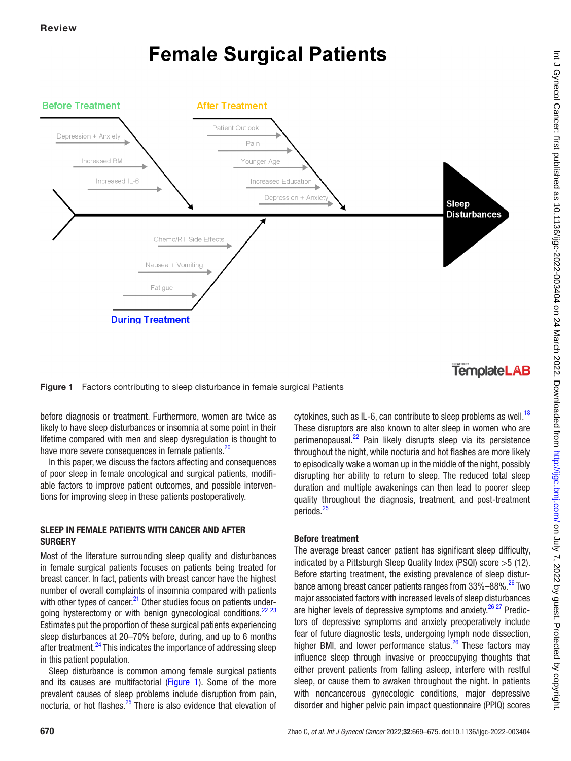# **Female Surgical Patients**



**TemplateLAB** 

<span id="page-1-0"></span>Figure 1 Factors contributing to sleep disturbance in female surgical Patients

before diagnosis or treatment. Furthermore, women are twice as likely to have sleep disturbances or insomnia at some point in their lifetime compared with men and sleep dysregulation is thought to have more severe consequences in female patients.<sup>20</sup>

In this paper, we discuss the factors affecting and consequences of poor sleep in female oncological and surgical patients, modifiable factors to improve patient outcomes, and possible interventions for improving sleep in these patients postoperatively.

# SLEEP IN FEMALE PATIENTS WITH CANCER AND AFTER **SURGERY**

Most of the literature surrounding sleep quality and disturbances in female surgical patients focuses on patients being treated for breast cancer. In fact, patients with breast cancer have the highest number of overall complaints of insomnia compared with patients with other types of cancer.<sup>21</sup> Other studies focus on patients undergoing hysterectomy or with benign gynecological conditions.<sup>22 23</sup> Estimates put the proportion of these surgical patients experiencing sleep disturbances at 20–70% before, during, and up to 6 months after treatment.<sup>24</sup> This indicates the importance of addressing sleep in this patient population.

Sleep disturbance is common among female surgical patients and its causes are multifactorial [\(Figure 1](#page-1-0)). Some of the more prevalent causes of sleep problems include disruption from pain, nocturia, or hot flashes.<sup>[25](#page-6-13)</sup> There is also evidence that elevation of

cytokines, such as IL-6, can contribute to sleep problems as well.<sup>[18](#page-6-14)</sup> These disruptors are also known to alter sleep in women who are perimenopausal.[22](#page-6-11) Pain likely disrupts sleep via its persistence throughout the night, while nocturia and hot flashes are more likely to episodically wake a woman up in the middle of the night, possibly disrupting her ability to return to sleep. The reduced total sleep duration and multiple awakenings can then lead to poorer sleep quality throughout the diagnosis, treatment, and post-treatment periods.<sup>25</sup>

# Before treatment

The average breast cancer patient has significant sleep difficulty, indicated by a Pittsburgh Sleep Quality Index (PSQI) score >5 (12). Before starting treatment, the existing prevalence of sleep disturbance among breast cancer patients ranges from 33%–88%.<sup>26</sup> Two major associated factors with increased levels of sleep disturbances are higher levels of depressive symptoms and anxiety. $26\frac{27}{12}$  Predictors of depressive symptoms and anxiety preoperatively include fear of future diagnostic tests, undergoing lymph node dissection, higher BMI, and lower performance status. $26$  These factors may influence sleep through invasive or preoccupying thoughts that either prevent patients from falling asleep, interfere with restful sleep, or cause them to awaken throughout the night. In patients with noncancerous gynecologic conditions, major depressive disorder and higher pelvic pain impact questionnaire (PPIQ) scores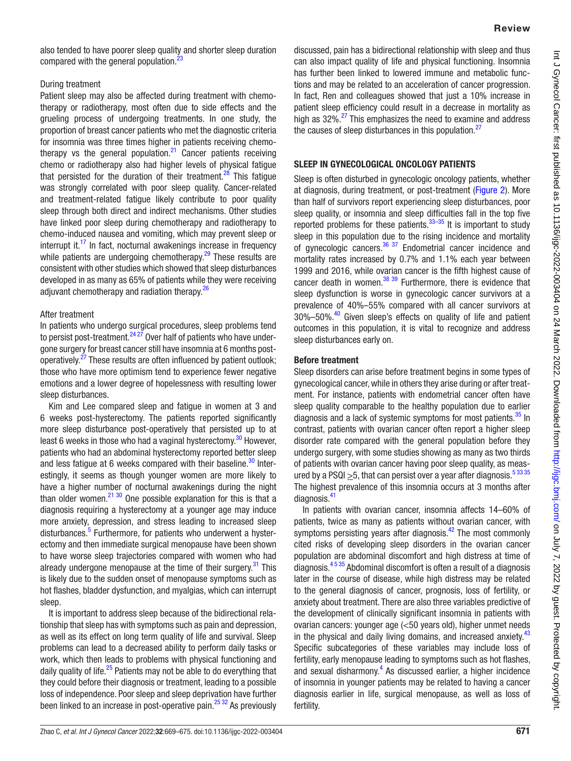## During treatment

Patient sleep may also be affected during treatment with chemotherapy or radiotherapy, most often due to side effects and the grueling process of undergoing treatments. In one study, the proportion of breast cancer patients who met the diagnostic criteria for insomnia was three times higher in patients receiving chemotherapy vs the general population. $21$  Cancer patients receiving chemo or radiotherapy also had higher levels of physical fatigue that persisted for the duration of their treatment.<sup>28</sup> This fatigue was strongly correlated with poor sleep quality. Cancer-related and treatment-related fatigue likely contribute to poor quality sleep through both direct and indirect mechanisms. Other studies have linked poor sleep during chemotherapy and radiotherapy to chemo-induced nausea and vomiting, which may prevent sleep or interrupt it. $17$  In fact, nocturnal awakenings increase in frequency while patients are undergoing chemotherapy. $29$  These results are consistent with other studies which showed that sleep disturbances developed in as many as 65% of patients while they were receiving adjuvant chemotherapy and radiation therapy.<sup>[26](#page-6-15)</sup>

## After treatment

In patients who undergo surgical procedures, sleep problems tend to persist post-treatment.  $2427$  Over half of patients who have undergone surgery for breast cancer still have insomnia at 6 months postoperatively[.27](#page-6-19) These results are often influenced by patient outlook; those who have more optimism tend to experience fewer negative emotions and a lower degree of hopelessness with resulting lower sleep disturbances.

Kim and Lee compared sleep and fatigue in women at 3 and 6 weeks post-hysterectomy. The patients reported significantly more sleep disturbance post-operatively that persisted up to at least 6 weeks in those who had a vaginal hysterectomy.<sup>30</sup> However, patients who had an abdominal hysterectomy reported better sleep and less fatigue at 6 weeks compared with their baseline. $30$  Interestingly, it seems as though younger women are more likely to have a higher number of nocturnal awakenings during the night than older women.<sup>21 30</sup> One possible explanation for this is that a diagnosis requiring a hysterectomy at a younger age may induce more anxiety, depression, and stress leading to increased sleep disturbances.<sup>[5](#page-5-5)</sup> Furthermore, for patients who underwent a hysterectomy and then immediate surgical menopause have been shown to have worse sleep trajectories compared with women who had already undergone menopause at the time of their surgery. $31$  This is likely due to the sudden onset of menopause symptoms such as hot flashes, bladder dysfunction, and myalgias, which can interrupt sleep.

It is important to address sleep because of the bidirectional relationship that sleep has with symptoms such as pain and depression, as well as its effect on long term quality of life and survival. Sleep problems can lead to a decreased ability to perform daily tasks or work, which then leads to problems with physical functioning and daily quality of life. $25$  Patients may not be able to do everything that they could before their diagnosis or treatment, leading to a possible loss of independence. Poor sleep and sleep deprivation have further been linked to an increase in post-operative pain. $25\frac{32}{1}$  As previously

discussed, pain has a bidirectional relationship with sleep and thus can also impact quality of life and physical functioning. Insomnia has further been linked to lowered immune and metabolic functions and may be related to an acceleration of cancer progression. In fact, Ren and colleagues showed that just a 10% increase in patient sleep efficiency could result in a decrease in mortality as high as 32%.<sup>27</sup> This emphasizes the need to examine and address the causes of sleep disturbances in this population.<sup>27</sup>

# SLEEP IN GYNECOLOGICAL ONCOLOGY PATIENTS

Sleep is often disturbed in gynecologic oncology patients, whether at diagnosis, during treatment, or post-treatment [\(Figure 2\)](#page-3-0). More than half of survivors report experiencing sleep disturbances, poor sleep quality, or insomnia and sleep difficulties fall in the top five reported problems for these patients.<sup>33–35</sup> It is important to study sleep in this population due to the rising incidence and mortality of gynecologic cancers. $36 \frac{37}{12}$  Endometrial cancer incidence and mortality rates increased by 0.7% and 1.1% each year between 1999 and 2016, while ovarian cancer is the fifth highest cause of cancer death in women. $38 \frac{39}{9}$  Furthermore, there is evidence that sleep dysfunction is worse in gynecologic cancer survivors at a prevalence of 40%–55% compared with all cancer survivors at 30%–50%.<sup>[40](#page-6-25)</sup> Given sleep's effects on quality of life and patient outcomes in this population, it is vital to recognize and address sleep disturbances early on.

# Before treatment

Sleep disorders can arise before treatment begins in some types of gynecological cancer, while in others they arise during or after treatment. For instance, patients with endometrial cancer often have sleep quality comparable to the healthy population due to earlier diagnosis and a lack of systemic symptoms for most patients. $35$  In contrast, patients with ovarian cancer often report a higher sleep disorder rate compared with the general population before they undergo surgery, with some studies showing as many as two thirds of patients with ovarian cancer having poor sleep quality, as measured by a PSQI  $\geq$ 5, that can persist over a year after diagnosis.<sup>53335</sup> The highest prevalence of this insomnia occurs at 3 months after diagnosis.[41](#page-6-27)

In patients with ovarian cancer, insomnia affects 14–60% of patients, twice as many as patients without ovarian cancer, with symptoms persisting years after diagnosis. $42$  The most commonly cited risks of developing sleep disorders in the ovarian cancer population are abdominal discomfort and high distress at time of diagnosis.[4 5 35](#page-5-2) Abdominal discomfort is often a result of a diagnosis later in the course of disease, while high distress may be related to the general diagnosis of cancer, prognosis, loss of fertility, or anxiety about treatment. There are also three variables predictive of the development of clinically significant insomnia in patients with ovarian cancers: younger age (<50 years old), higher unmet needs in the physical and daily living domains, and increased anxiety.<sup>[43](#page-6-29)</sup> Specific subcategories of these variables may include loss of fertility, early menopause leading to symptoms such as hot flashes, and sexual disharmony.<sup>[4](#page-5-2)</sup> As discussed earlier, a higher incidence of insomnia in younger patients may be related to having a cancer diagnosis earlier in life, surgical menopause, as well as loss of fertility.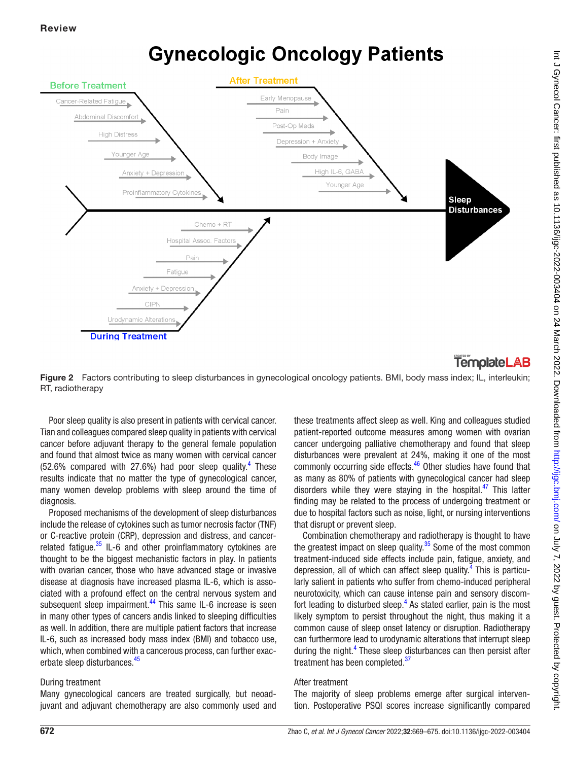# **Gynecologic Oncology Patients**



# **TemplateLAB**

<span id="page-3-0"></span>Figure 2 Factors contributing to sleep disturbances in gynecological oncology patients. BMI, body mass index; IL, interleukin; RT, radiotherapy

Poor sleep quality is also present in patients with cervical cancer. Tian and colleagues compared sleep quality in patients with cervical cancer before adjuvant therapy to the general female population and found that almost twice as many women with cervical cancer  $(52.6\%$  compared with 27.6%) had poor sleep quality.<sup>4</sup> These results indicate that no matter the type of gynecological cancer, many women develop problems with sleep around the time of diagnosis.

Proposed mechanisms of the development of sleep disturbances include the release of cytokines such as tumor necrosis factor (TNF) or C-reactive protein (CRP), depression and distress, and cancerrelated fatigue. $35$  IL-6 and other proinflammatory cytokines are thought to be the biggest mechanistic factors in play. In patients with ovarian cancer, those who have advanced stage or invasive disease at diagnosis have increased plasma IL-6, which is associated with a profound effect on the central nervous system and subsequent sleep impairment.<sup>[44](#page-6-30)</sup> This same IL-6 increase is seen in many other types of cancers andis linked to sleeping difficulties as well. In addition, there are multiple patient factors that increase IL-6, such as increased body mass index (BMI) and tobacco use, which, when combined with a cancerous process, can further exac-erbate sleep disturbances.<sup>[45](#page-6-31)</sup>

# During treatment

Many gynecological cancers are treated surgically, but neoadjuvant and adjuvant chemotherapy are also commonly used and

these treatments affect sleep as well. King and colleagues studied patient-reported outcome measures among women with ovarian cancer undergoing palliative chemotherapy and found that sleep disturbances were prevalent at 24%, making it one of the most commonly occurring side effects.<sup>[46](#page-6-32)</sup> Other studies have found that as many as 80% of patients with gynecological cancer had sleep disorders while they were staying in the hospital. $47$  This latter finding may be related to the process of undergoing treatment or due to hospital factors such as noise, light, or nursing interventions that disrupt or prevent sleep.

Combination chemotherapy and radiotherapy is thought to have the greatest impact on sleep quality. $35$  Some of the most common treatment-induced side effects include pain, fatigue, anxiety, and depression, all of which can affect sleep quality.<sup>[4](#page-5-2)</sup> This is particularly salient in patients who suffer from chemo-induced peripheral neurotoxicity, which can cause intense pain and sensory discomfort leading to disturbed sleep. $<sup>4</sup>$  $<sup>4</sup>$  $<sup>4</sup>$  As stated earlier, pain is the most</sup> likely symptom to persist throughout the night, thus making it a common cause of sleep onset latency or disruption. Radiotherapy can furthermore lead to urodynamic alterations that interrupt sleep during the night.<sup>[4](#page-5-2)</sup> These sleep disturbances can then persist after treatment has been completed.<sup>37</sup>

# After treatment

The majority of sleep problems emerge after surgical intervention. Postoperative PSQI scores increase significantly compared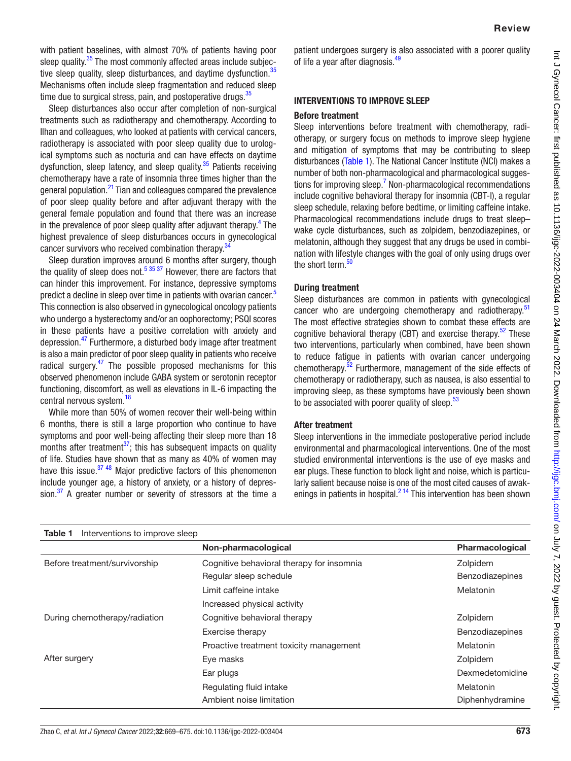with patient baselines, with almost 70% of patients having poor sleep quality.<sup>35</sup> The most commonly affected areas include subjective sleep quality, sleep disturbances, and daytime dysfunction.<sup>35</sup> Mechanisms often include sleep fragmentation and reduced sleep time due to surgical stress, pain, and postoperative drugs. $35$ 

Sleep disturbances also occur after completion of non-surgical treatments such as radiotherapy and chemotherapy. According to Ilhan and colleagues, who looked at patients with cervical cancers, radiotherapy is associated with poor sleep quality due to urological symptoms such as nocturia and can have effects on daytime dysfunction, sleep latency, and sleep quality. $35$  Patients receiving chemotherapy have a rate of insomnia three times higher than the general population.[21](#page-6-10) Tian and colleagues compared the prevalence of poor sleep quality before and after adjuvant therapy with the general female population and found that there was an increase in the prevalence of poor sleep quality after adjuvant therapy.<sup>4</sup> The highest prevalence of sleep disturbances occurs in gynecological cancer survivors who received combination therapy.<sup>34</sup>

Sleep duration improves around 6 months after surgery, though the quality of sleep does not[.5 35 37](#page-5-5) However, there are factors that can hinder this improvement. For instance, depressive symptoms predict a decline in sleep over time in patients with ovarian cancer.<sup>5</sup> This connection is also observed in gynecological oncology patients who undergo a hysterectomy and/or an oophorectomy; PSQI scores in these patients have a positive correlation with anxiety and depression.[47](#page-6-33) Furthermore, a disturbed body image after treatment is also a main predictor of poor sleep quality in patients who receive radical surgery. $47$  The possible proposed mechanisms for this observed phenomenon include GABA system or serotonin receptor functioning, discomfort, as well as elevations in IL-6 impacting the central nervous system.<sup>18</sup>

While more than 50% of women recover their well-being within 6 months, there is still a large proportion who continue to have symptoms and poor well-being affecting their sleep more than 18 months after treatment $37$ ; this has subsequent impacts on quality of life. Studies have shown that as many as 40% of women may have this issue. $3748$  Major predictive factors of this phenomenon include younger age, a history of anxiety, or a history of depression. $37$  A greater number or severity of stressors at the time a

patient undergoes surgery is also associated with a poorer quality of life a year after diagnosis.<sup>[49](#page-6-36)</sup>

### INTERVENTIONS TO IMPROVE SLEEP

### Before treatment

Sleep interventions before treatment with chemotherapy, radiotherapy, or surgery focus on methods to improve sleep hygiene and mitigation of symptoms that may be contributing to sleep disturbances [\(Table 1\)](#page-4-0). The National Cancer Institute (NCI) makes a number of both non-pharmacological and pharmacological sugges-tions for improving sleep.<sup>[7](#page-5-6)</sup> Non-pharmacological recommendations include cognitive behavioral therapy for insomnia (CBT-I), a regular sleep schedule, relaxing before bedtime, or limiting caffeine intake. Pharmacological recommendations include drugs to treat sleep– wake cycle disturbances, such as zolpidem, benzodiazepines, or melatonin, although they suggest that any drugs be used in combination with lifestyle changes with the goal of only using drugs over the short term.<sup>[50](#page-6-37)</sup>

## During treatment

Sleep disturbances are common in patients with gynecological cancer who are undergoing chemotherapy and radiotherapy.<sup>[51](#page-6-38)</sup> The most effective strategies shown to combat these effects are cognitive behavioral therapy (CBT) and exercise therapy.<sup>52</sup> These two interventions, particularly when combined, have been shown to reduce fatigue in patients with ovarian cancer undergoing chemotherapy.<sup>52</sup> Furthermore, management of the side effects of chemotherapy or radiotherapy, such as nausea, is also essential to improving sleep, as these symptoms have previously been shown to be associated with poorer quality of sleep. $53$ 

### After treatment

Sleep interventions in the immediate postoperative period include environmental and pharmacological interventions. One of the most studied environmental interventions is the use of eye masks and ear plugs. These function to block light and noise, which is particularly salient because noise is one of the most cited causes of awakenings in patients in hospital. $2^{14}$  This intervention has been shown

<span id="page-4-0"></span>

| Interventions to improve sleep<br>Table 1 |                                           |                        |
|-------------------------------------------|-------------------------------------------|------------------------|
|                                           | Non-pharmacological                       | <b>Pharmacological</b> |
| Before treatment/survivorship             | Cognitive behavioral therapy for insomnia | Zolpidem               |
|                                           | Regular sleep schedule                    | Benzodiazepines        |
|                                           | Limit caffeine intake                     | Melatonin              |
|                                           | Increased physical activity               |                        |
| During chemotherapy/radiation             | Cognitive behavioral therapy              | Zolpidem               |
|                                           | Exercise therapy                          | <b>Benzodiazepines</b> |
|                                           | Proactive treatment toxicity management   | Melatonin              |
| After surgery                             | Eye masks                                 | Zolpidem               |
|                                           | Ear plugs                                 | Dexmedetomidine        |
|                                           | Regulating fluid intake                   | Melatonin              |
|                                           | Ambient noise limitation                  | Diphenhydramine        |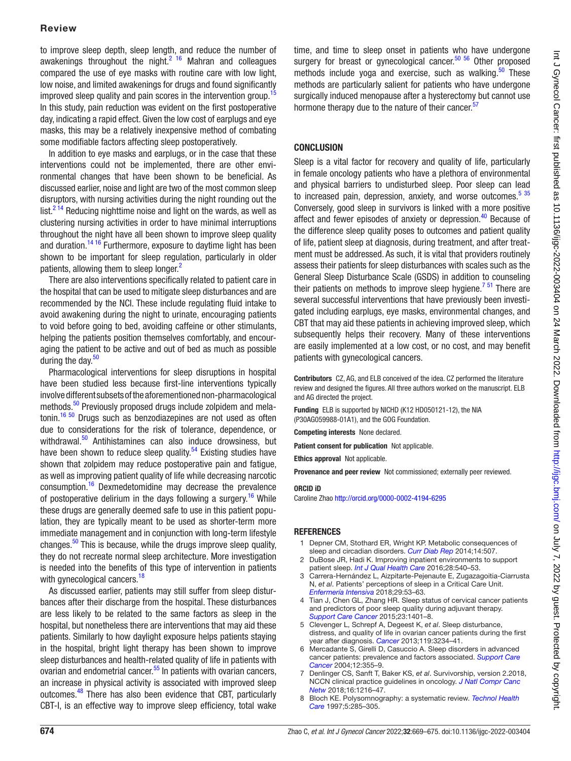## Review

to improve sleep depth, sleep length, and reduce the number of awakenings throughout the night. $2^{16}$  Mahran and colleagues compared the use of eye masks with routine care with low light, low noise, and limited awakenings for drugs and found significantly improved sleep quality and pain scores in the intervention group.<sup>[15](#page-6-6)</sup> In this study, pain reduction was evident on the first postoperative day, indicating a rapid effect. Given the low cost of earplugs and eye masks, this may be a relatively inexpensive method of combating some modifiable factors affecting sleep postoperatively.

In addition to eye masks and earplugs, or in the case that these interventions could not be implemented, there are other environmental changes that have been shown to be beneficial. As discussed earlier, noise and light are two of the most common sleep disruptors, with nursing activities during the night rounding out the  $list.<sup>214</sup>$  Reducing nighttime noise and light on the wards, as well as clustering nursing activities in order to have minimal interruptions throughout the night have all been shown to improve sleep quality and duration.<sup>14 16</sup> Furthermore, exposure to daytime light has been shown to be important for sleep regulation, particularly in older patients, allowing them to sleep longer.<sup>[2](#page-5-4)</sup>

There are also interventions specifically related to patient care in the hospital that can be used to mitigate sleep disturbances and are recommended by the NCI. These include regulating fluid intake to avoid awakening during the night to urinate, encouraging patients to void before going to bed, avoiding caffeine or other stimulants, helping the patients position themselves comfortably, and encouraging the patient to be active and out of bed as much as possible during the day.<sup>[50](#page-6-37)</sup>

Pharmacological interventions for sleep disruptions in hospital have been studied less because first-line interventions typically involve different subsets of the aforementioned non-pharmacological methods.<sup>50</sup> Previously proposed drugs include zolpidem and melatonin.<sup>16 50</sup> Drugs such as benzodiazepines are not used as often due to considerations for the risk of tolerance, dependence, or withdrawal.<sup>50</sup> Antihistamines can also induce drowsiness, but have been shown to reduce sleep quality.<sup>54</sup> Existing studies have shown that zolpidem may reduce postoperative pain and fatigue, as well as improving patient quality of life while decreasing narcotic consumption.<sup>[16](#page-6-7)</sup> Dexmedetomidine may decrease the prevalence of postoperative delirium in the days following a surgery.<sup>[16](#page-6-7)</sup> While these drugs are generally deemed safe to use in this patient population, they are typically meant to be used as shorter-term more immediate management and in conjunction with long-term lifestyle changes. $50$  This is because, while the drugs improve sleep quality, they do not recreate normal sleep architecture. More investigation is needed into the benefits of this type of intervention in patients with gynecological cancers.<sup>18</sup>

As discussed earlier, patients may still suffer from sleep disturbances after their discharge from the hospital. These disturbances are less likely to be related to the same factors as sleep in the hospital, but nonetheless there are interventions that may aid these patients. Similarly to how daylight exposure helps patients staying in the hospital, bright light therapy has been shown to improve sleep disturbances and health-related quality of life in patients with ovarian and endometrial cancer.<sup>55</sup> In patients with ovarian cancers, an increase in physical activity is associated with improved sleep outcomes.[48](#page-6-43) There has also been evidence that CBT, particularly CBT-I, is an effective way to improve sleep efficiency, total wake

time, and time to sleep onset in patients who have undergone surgery for breast or gynecological cancer.<sup>50 56</sup> Other proposed methods include yoga and exercise, such as walking. $50$  These methods are particularly salient for patients who have undergone surgically induced menopause after a hysterectomy but cannot use hormone therapy due to the nature of their cancer.<sup>[57](#page-6-44)</sup>

# **CONCLUSION**

Sleep is a vital factor for recovery and quality of life, particularly in female oncology patients who have a plethora of environmental and physical barriers to undisturbed sleep. Poor sleep can lead to increased pain, depression, anxiety, and worse outcomes. $535$ Conversely, good sleep in survivors is linked with a more positive affect and fewer episodes of anxiety or depression.<sup>[40](#page-6-25)</sup> Because of the difference sleep quality poses to outcomes and patient quality of life, patient sleep at diagnosis, during treatment, and after treatment must be addressed. As such, it is vital that providers routinely assess their patients for sleep disturbances with scales such as the General Sleep Disturbance Scale (GSDS) in addition to counseling their patients on methods to improve sleep hygiene.<sup>751</sup> There are several successful interventions that have previously been investigated including earplugs, eye masks, environmental changes, and CBT that may aid these patients in achieving improved sleep, which subsequently helps their recovery. Many of these interventions are easily implemented at a low cost, or no cost, and may benefit patients with gynecological cancers.

Contributors CZ, AG, and ELB conceived of the idea. CZ performed the literature review and designed the figures. All three authors worked on the manuscript. ELB and AG directed the project.

Funding ELB is supported by NICHD (K12 HD050121-12), the NIA (P30AG059988-01A1), and the GOG Foundation.

Competing interests None declared.

Patient consent for publication Not applicable.

Ethics approval Not applicable.

Provenance and peer review Not commissioned; externally peer reviewed.

### ORCID iD

Caroline Zhao<http://orcid.org/0000-0002-4194-6295>

### **REFERENCES**

- <span id="page-5-0"></span>1 Depner CM, Stothard ER, Wright KP. Metabolic consequences of sleep and circadian disorders. *[Curr Diab Rep](http://dx.doi.org/10.1007/s11892-014-0507-z)* 2014;14:507.
- <span id="page-5-4"></span>2 DuBose JR, Hadi K. Improving inpatient environments to support patient sleep. *[Int J Qual Health Care](http://dx.doi.org/10.1093/intqhc/mzw079)* 2016;28:540–53.
- <span id="page-5-1"></span>3 Carrera-Hernández L, Aizpitarte-Pejenaute E, Zugazagoitia-Ciarrusta N, *et al*. Patients' perceptions of sleep in a Critical Care Unit. *[Enfermería Intensiva](http://dx.doi.org/10.1016/j.enfie.2018.01.002)* 2018;29:53–63.
- <span id="page-5-2"></span>4 Tian J, Chen GL, Zhang HR. Sleep status of cervical cancer patients and predictors of poor sleep quality during adjuvant therapy. *[Support Care Cancer](http://dx.doi.org/10.1007/s00520-014-2493-8)* 2015;23:1401–8.
- <span id="page-5-5"></span>5 Clevenger L, Schrepf A, Degeest K, *et al*. Sleep disturbance, distress, and quality of life in ovarian cancer patients during the first year after diagnosis. *[Cancer](http://dx.doi.org/10.1002/cncr.28188)* 2013;119:3234–41.
- Mercadante S, Girelli D, Casuccio A. Sleep disorders in advanced cancer patients: prevalence and factors associated. *[Support Care](http://dx.doi.org/10.1007/s00520-004-0623-4)  [Cancer](http://dx.doi.org/10.1007/s00520-004-0623-4)* 2004;12:355–9.
- <span id="page-5-6"></span>7 Denlinger CS, Sanft T, Baker KS, *et al*. Survivorship, version 2.2018, NCCN clinical practice guidelines in oncology. *[J Natl Compr Canc](http://dx.doi.org/10.6004/jnccn.2018.0078)  [Netw](http://dx.doi.org/10.6004/jnccn.2018.0078)* 2018;16:1216–47.
- <span id="page-5-3"></span>8 Bloch KE. Polysomnography: a systematic review. *[Technol Health](http://dx.doi.org/10.3233/THC-1997-5403)  [Care](http://dx.doi.org/10.3233/THC-1997-5403)* 1997;5:285–305.